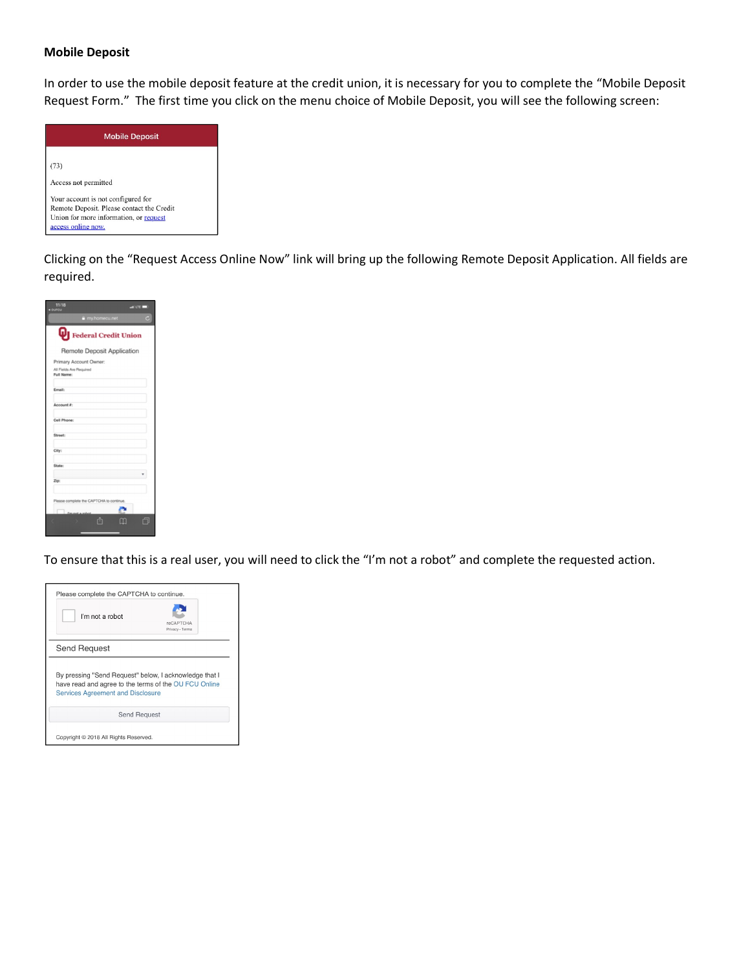## **Mobile Deposit**

In order to use the mobile deposit feature at the credit union, it is necessary for you to complete the "Mobile Deposit Request Form." The first time you click on the menu choice of Mobile Deposit, you will see the following screen:



Clicking on the "Request Access Online Now" link will bring up the following Remote Deposit Application. All fields are required.



To ensure that this is a real user, you will need to click the "I'm not a robot" and complete the requested action.

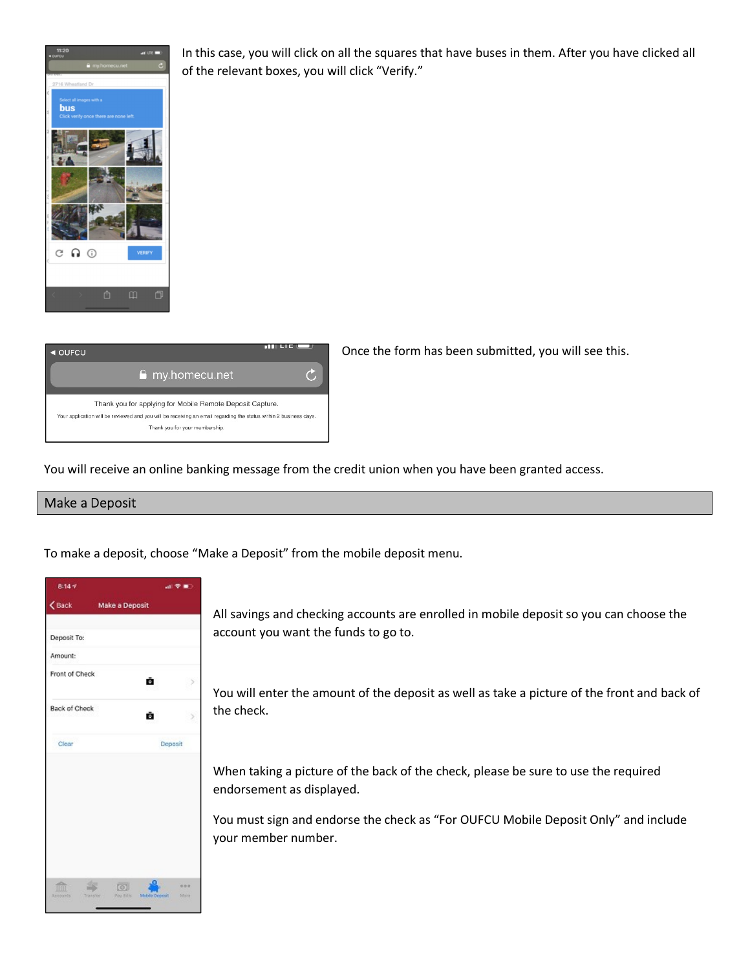

In this case, you will click on all the squares that have buses in them. After you have clicked all of the relevant boxes, you will click "Verify."



Once the form has been submitted, you will see this.

You will receive an online banking message from the credit union when you have been granted access.

## Make a Deposit

To make a deposit, choose "Make a Deposit" from the mobile deposit menu.

| 8:147                                          |                |                        | 証金庫          |  |
|------------------------------------------------|----------------|------------------------|--------------|--|
| $\zeta$ Back                                   | Make a Deposit |                        |              |  |
| Deposit To:                                    |                |                        |              |  |
| Amount:                                        |                |                        |              |  |
| Front of Check                                 |                | Ō.                     |              |  |
| Back of Check                                  |                | û                      |              |  |
| Clear                                          |                | Deposit                |              |  |
| as.<br><b>TITTI</b><br>Transfer.<br>Abbourn1s) | $\circ$        | Pay 87% Mobile Deposit | 水中市<br>State |  |

All savings and checking accounts are enrolled in mobile deposit so you can choose the account you want the funds to go to.

You will enter the amount of the deposit as well as take a picture of the front and back of the check.

When taking a picture of the back of the check, please be sure to use the required endorsement as displayed.

You must sign and endorse the check as "For OUFCU Mobile Deposit Only" and include your member number.